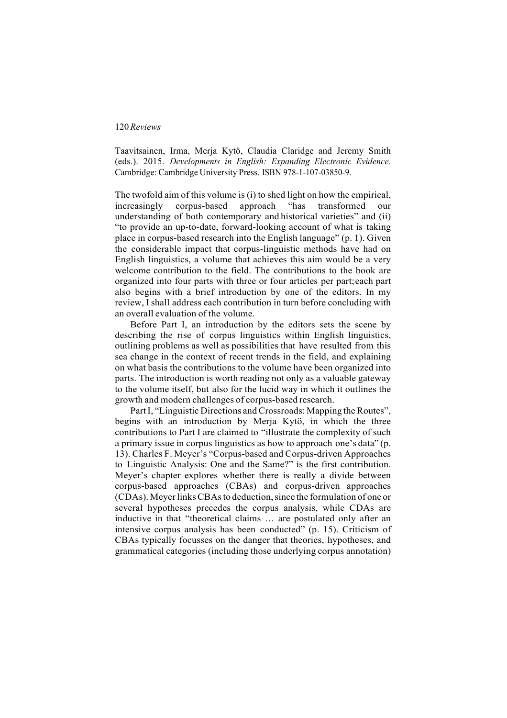Taavitsainen, Irma, Merja Kytö, Claudia Claridge and Jeremy Smith (eds.). 2015. *Developments in English: Expanding Electronic Evidence*. Cambridge: Cambridge University Press. ISBN 978-1-107-03850-9.

The twofold aim of this volume is (i) to shed light on how the empirical, increasingly corpus-based approach "has transformed our understanding of both contemporary and historical varieties" and (ii) "to provide an up-to-date, forward-looking account of what is taking place in corpus-based research into the English language" (p. 1). Given the considerable impact that corpus-linguistic methods have had on English linguistics, a volume that achieves this aim would be a very welcome contribution to the field. The contributions to the book are organized into four parts with three or four articles per part;each part also begins with a brief introduction by one of the editors. In my review, I shall address each contribution in turn before concluding with an overall evaluation of the volume.

Before Part I, an introduction by the editors sets the scene by describing the rise of corpus linguistics within English linguistics, outlining problems as well as possibilities that have resulted from this sea change in the context of recent trends in the field, and explaining on what basis the contributions to the volume have been organized into parts. The introduction is worth reading not only as a valuable gateway to the volume itself, but also for the lucid way in which it outlines the growth and modern challenges of corpus-based research.

Part I, "Linguistic Directions and Crossroads: Mapping the Routes", begins with an introduction by Merja Kytö, in which the three contributions to Part I are claimed to "illustrate the complexity of such a primary issue in corpus linguistics as how to approach one's data" (p. 13). Charles F. Meyer's "Corpus-based and Corpus-driven Approaches to Linguistic Analysis: One and the Same?" is the first contribution. Meyer's chapter explores whether there is really a divide between corpus-based approaches (CBAs) and corpus-driven approaches (CDAs). MeyerlinksCBAsto deduction,since the formulation of one or several hypotheses precedes the corpus analysis, while CDAs are inductive in that "theoretical claims … are postulated only after an intensive corpus analysis has been conducted" (p. 15). Criticism of CBAs typically focusses on the danger that theories, hypotheses, and grammatical categories (including those underlying corpus annotation)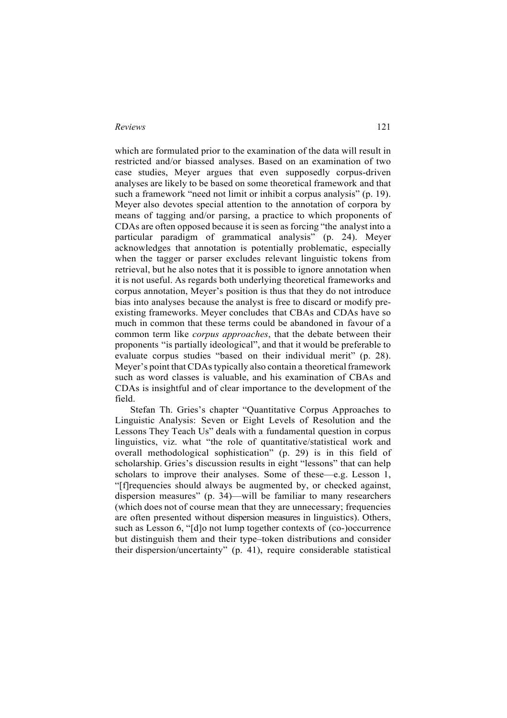which are formulated prior to the examination of the data will result in restricted and/or biassed analyses. Based on an examination of two case studies, Meyer argues that even supposedly corpus-driven analyses are likely to be based on some theoretical framework and that such a framework "need not limit or inhibit a corpus analysis" (p. 19). Meyer also devotes special attention to the annotation of corpora by means of tagging and/or parsing, a practice to which proponents of CDAs are often opposed because it is seen as forcing "the analyst into a particular paradigm of grammatical analysis" (p. 24). Meyer acknowledges that annotation is potentially problematic, especially when the tagger or parser excludes relevant linguistic tokens from retrieval, but he also notes that it is possible to ignore annotation when it is not useful. As regards both underlying theoretical frameworks and corpus annotation, Meyer's position is thus that they do not introduce bias into analyses because the analyst is free to discard or modify preexisting frameworks. Meyer concludes that CBAs and CDAs have so much in common that these terms could be abandoned in favour of a common term like *corpus approaches*, that the debate between their proponents "is partially ideological", and that it would be preferable to evaluate corpus studies "based on their individual merit" (p. 28). Meyer's point that CDAs typically also contain a theoretical framework such as word classes is valuable, and his examination of CBAs and CDAs is insightful and of clear importance to the development of the field.

Stefan Th. Gries's chapter "Quantitative Corpus Approaches to Linguistic Analysis: Seven or Eight Levels of Resolution and the Lessons They Teach Us" deals with a fundamental question in corpus linguistics, viz. what "the role of quantitative/statistical work and overall methodological sophistication" (p. 29) is in this field of scholarship. Gries's discussion results in eight "lessons" that can help scholars to improve their analyses. Some of these—e.g. Lesson 1, "[f]requencies should always be augmented by, or checked against, dispersion measures" (p. 34)—will be familiar to many researchers (which does not of course mean that they are unnecessary; frequencies are often presented without dispersion measures in linguistics). Others, such as Lesson 6, "[d]o not lump together contexts of (co-)occurrence but distinguish them and their type–token distributions and consider their dispersion/uncertainty" (p. 41), require considerable statistical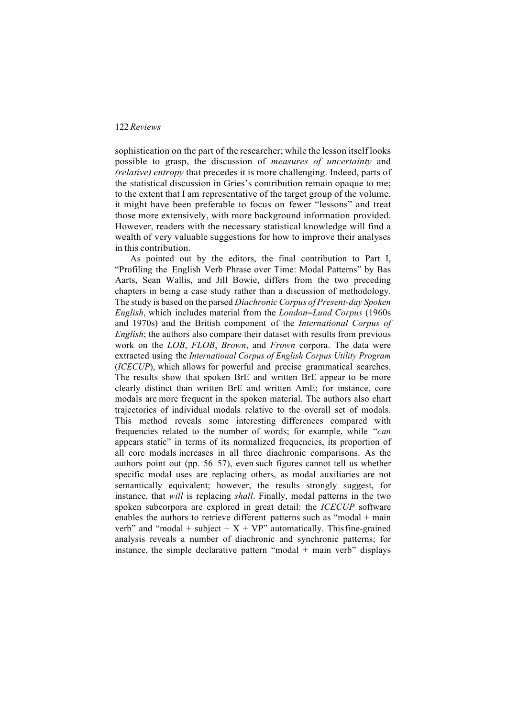sophistication on the part of the researcher; while the lesson itself looks possible to grasp, the discussion of *measures of uncertainty* and *(relative) entropy* that precedes it is more challenging. Indeed, parts of the statistical discussion in Gries's contribution remain opaque to me; to the extent that I am representative of the target group of the volume, it might have been preferable to focus on fewer "lessons" and treat those more extensively, with more background information provided. However, readers with the necessary statistical knowledge will find a wealth of very valuable suggestions for how to improve their analyses in this contribution.

As pointed out by the editors, the final contribution to Part I, "Profiling the English Verb Phrase over Time: Modal Patterns" by Bas Aarts, Sean Wallis, and Jill Bowie, differs from the two preceding chapters in being a case study rather than a discussion of methodology. The study is based on the parsed *Diachronic Corpus of Present-day Spoken English*, which includes material from the *London–Lund Corpus* (1960s and 1970s) and the British component of the *International Corpus of English*; the authors also compare their dataset with results from previous work on the *LOB*, *FLOB*, *Brown*, and *Frown* corpora. The data were extracted using the *International Corpus of English Corpus Utility Program* (*ICECUP*), which allows for powerful and precise grammatical searches. The results show that spoken BrE and written BrE appear to be more clearly distinct than written BrE and written AmE; for instance, core modals are more frequent in the spoken material. The authors also chart trajectories of individual modals relative to the overall set of modals. This method reveals some interesting differences compared with frequencies related to the number of words; for example, while "*can* appears static" in terms of its normalized frequencies, its proportion of all core modals increases in all three diachronic comparisons. As the authors point out (pp. 56–57), even such figures cannot tell us whether specific modal uses are replacing others, as modal auxiliaries are not semantically equivalent; however, the results strongly suggest, for instance, that *will* is replacing *shall*. Finally, modal patterns in the two spoken subcorpora are explored in great detail: the *ICECUP* software enables the authors to retrieve different patterns such as "modal + main verb" and "modal + subject +  $X + VP$ " automatically. This fine-grained analysis reveals a number of diachronic and synchronic patterns; for instance, the simple declarative pattern "modal  $+$  main verb" displays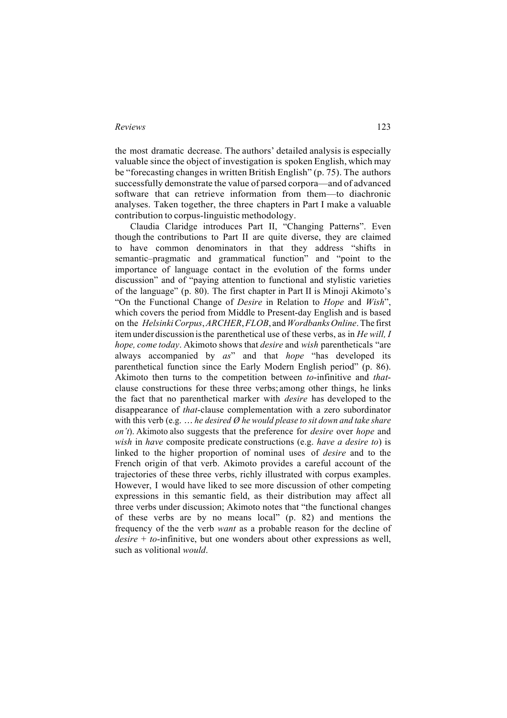the most dramatic decrease. The authors' detailed analysis is especially valuable since the object of investigation is spoken English, which may be "forecasting changes in written British English" (p. 75). The authors successfully demonstrate the value of parsed corpora—and of advanced software that can retrieve information from them—to diachronic analyses. Taken together, the three chapters in Part I make a valuable contribution to corpus-linguistic methodology.

Claudia Claridge introduces Part II, "Changing Patterns". Even though the contributions to Part II are quite diverse, they are claimed to have common denominators in that they address "shifts in semantic–pragmatic and grammatical function" and "point to the importance of language contact in the evolution of the forms under discussion" and of "paying attention to functional and stylistic varieties of the language" (p. 80). The first chapter in Part II is Minoji Akimoto's "On the Functional Change of *Desire* in Relation to *Hope* and *Wish*", which covers the period from Middle to Present-day English and is based on the *HelsinkiCorpus*,*ARCHER*,*FLOB*, and *WordbanksOnline*.The first itemunder discussion isthe parenthetical use of these verbs, as in *He will, I hope, come today*. Akimoto shows that *desire* and *wish* parentheticals "are always accompanied by *as*" and that *hope* "has developed its parenthetical function since the Early Modern English period" (p. 86). Akimoto then turns to the competition between *to*-infinitive and *that*clause constructions for these three verbs; among other things, he links the fact that no parenthetical marker with *desire* has developed to the disappearance of *that*-clause complementation with a zero subordinator with this verb (e.g. *… he desired Ø he would please to sit down and take share on't*). Akimoto also suggests that the preference for *desire* over *hope* and *wish* in *have* composite predicate constructions (e.g. *have a desire to*) is linked to the higher proportion of nominal uses of *desire* and to the French origin of that verb. Akimoto provides a careful account of the trajectories of these three verbs, richly illustrated with corpus examples. However, I would have liked to see more discussion of other competing expressions in this semantic field, as their distribution may affect all three verbs under discussion; Akimoto notes that "the functional changes of these verbs are by no means local" (p. 82) and mentions the frequency of the the verb *want* as a probable reason for the decline of *desire* + *to*-infinitive, but one wonders about other expressions as well, such as volitional *would*.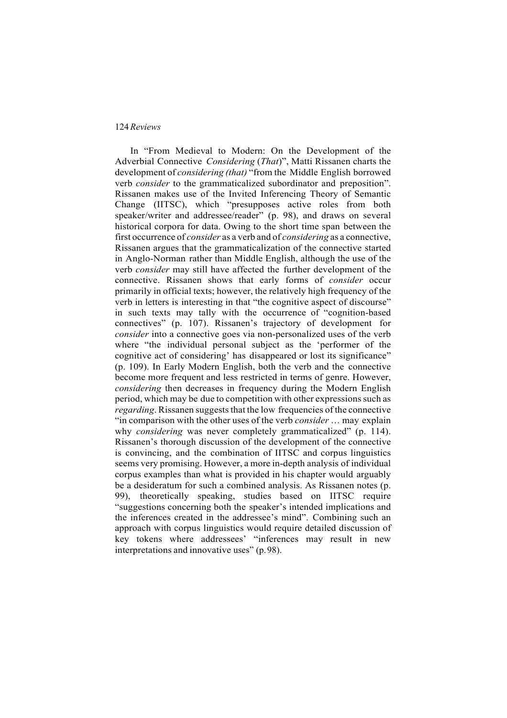In "From Medieval to Modern: On the Development of the Adverbial Connective *Considering* (*That*)", Matti Rissanen charts the development of *considering (that)* "from the Middle English borrowed verb *consider* to the grammaticalized subordinator and preposition". Rissanen makes use of the Invited Inferencing Theory of Semantic Change (IITSC), which "presupposes active roles from both speaker/writer and addressee/reader" (p. 98), and draws on several historical corpora for data. Owing to the short time span between the first occurrence of *consider* as a verb and of *considering* as a connective, Rissanen argues that the grammaticalization of the connective started in Anglo-Norman rather than Middle English, although the use of the verb *consider* may still have affected the further development of the connective. Rissanen shows that early forms of *consider* occur primarily in official texts; however, the relatively high frequency of the verb in letters is interesting in that "the cognitive aspect of discourse" in such texts may tally with the occurrence of "cognition-based connectives" (p. 107). Rissanen's trajectory of development for *consider* into a connective goes via non-personalized uses of the verb where "the individual personal subject as the 'performer of the cognitive act of considering' has disappeared or lost its significance" (p. 109). In Early Modern English, both the verb and the connective become more frequent and less restricted in terms of genre. However, *considering* then decreases in frequency during the Modern English period, which may be due to competition with other expressions such as *regarding*. Rissanen suggests that the low frequencies of the connective "in comparison with the other uses of the verb *consider* … may explain why *considering* was never completely grammaticalized" (p. 114). Rissanen's thorough discussion of the development of the connective is convincing, and the combination of IITSC and corpus linguistics seems very promising. However, a more in-depth analysis of individual corpus examples than what is provided in his chapter would arguably be a desideratum for such a combined analysis. As Rissanen notes (p. 99), theoretically speaking, studies based on IITSC require "suggestions concerning both the speaker's intended implications and the inferences created in the addressee's mind". Combining such an approach with corpus linguistics would require detailed discussion of key tokens where addressees' "inferences may result in new interpretations and innovative uses" (p.98).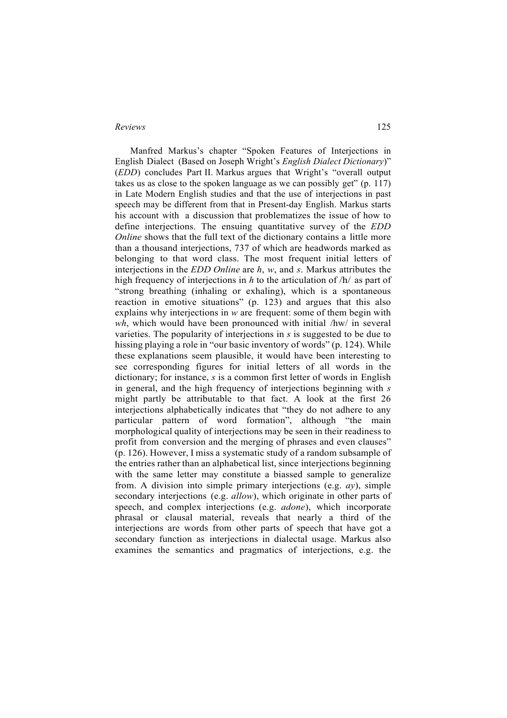Manfred Markus's chapter "Spoken Features of Interjections in English Dialect (Based on Joseph Wright's *English Dialect Dictionary*)" (*EDD*) concludes Part II. Markus argues that Wright's "overall output takes us as close to the spoken language as we can possibly get"  $(p, 117)$ in Late Modern English studies and that the use of interjections in past speech may be different from that in Present-day English. Markus starts his account with a discussion that problematizes the issue of how to define interjections. The ensuing quantitative survey of the *EDD Online* shows that the full text of the dictionary contains a little more than a thousand interjections, 737 of which are headwords marked as belonging to that word class. The most frequent initial letters of interjections in the *EDD Online* are *h*, *w*, and *s*. Markus attributes the high frequency of interjections in *h* to the articulation of /h/ as part of "strong breathing (inhaling or exhaling), which is a spontaneous reaction in emotive situations" (p. 123) and argues that this also explains why interjections in *w* are frequent: some of them begin with *wh*, which would have been pronounced with initial /hw/ in several varieties. The popularity of interjections in *s* is suggested to be due to hissing playing a role in "our basic inventory of words" (p. 124). While these explanations seem plausible, it would have been interesting to see corresponding figures for initial letters of all words in the dictionary; for instance, *s* is a common first letter of words in English in general, and the high frequency of interjections beginning with *s* might partly be attributable to that fact. A look at the first 26 interjections alphabetically indicates that "they do not adhere to any particular pattern of word formation", although "the main morphological quality of interjections may be seen in their readiness to profit from conversion and the merging of phrases and even clauses" (p. 126). However, I miss a systematic study of a random subsample of the entries rather than an alphabetical list, since interjections beginning with the same letter may constitute a biassed sample to generalize from. A division into simple primary interjections (e.g. *ay*), simple secondary interjections (e.g. *allow*), which originate in other parts of speech, and complex interjections (e.g. *adone*), which incorporate phrasal or clausal material, reveals that nearly a third of the interjections are words from other parts of speech that have got a secondary function as interjections in dialectal usage. Markus also examines the semantics and pragmatics of interjections, e.g. the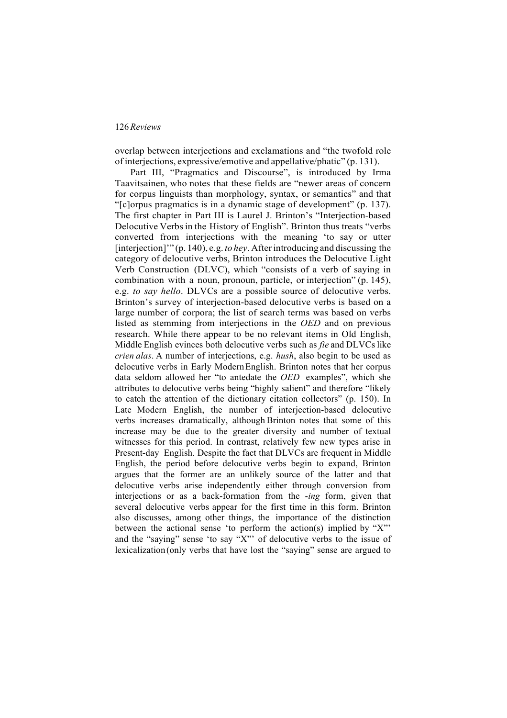overlap between interjections and exclamations and "the twofold role of interjections, expressive/emotive and appellative/phatic" (p. 131).

Part III, "Pragmatics and Discourse", is introduced by Irma Taavitsainen, who notes that these fields are "newer areas of concern for corpus linguists than morphology, syntax, or semantics" and that "[c]orpus pragmatics is in a dynamic stage of development" (p. 137). The first chapter in Part III is Laurel J. Brinton's "Interjection-based Delocutive Verbs in the History of English". Brinton thus treats "verbs" converted from interjections with the meaning 'to say or utter [interjection]'" (p. 140), e.g. *to hey*. Afterintroducing and discussing the category of delocutive verbs, Brinton introduces the Delocutive Light Verb Construction (DLVC), which "consists of a verb of saying in combination with a noun, pronoun, particle, or interjection" (p. 145), e.g. *to say hello*. DLVCs are a possible source of delocutive verbs. Brinton's survey of interjection-based delocutive verbs is based on a large number of corpora; the list of search terms was based on verbs listed as stemming from interjections in the *OED* and on previous research. While there appear to be no relevant items in Old English, Middle English evinces both delocutive verbs such as *fie* and DLVCs like *crien alas*. A number of interjections, e.g. *hush*, also begin to be used as delocutive verbs in Early ModernEnglish. Brinton notes that her corpus data seldom allowed her "to antedate the *OED* examples", which she attributes to delocutive verbs being "highly salient" and therefore "likely to catch the attention of the dictionary citation collectors" (p. 150). In Late Modern English, the number of interjection-based delocutive verbs increases dramatically, although Brinton notes that some of this increase may be due to the greater diversity and number of textual witnesses for this period. In contrast, relatively few new types arise in Present-day English. Despite the fact that DLVCs are frequent in Middle English, the period before delocutive verbs begin to expand, Brinton argues that the former are an unlikely source of the latter and that delocutive verbs arise independently either through conversion from interjections or as a back-formation from the -*ing* form, given that several delocutive verbs appear for the first time in this form. Brinton also discusses, among other things, the importance of the distinction between the actional sense 'to perform the action(s) implied by "X"' and the "saying" sense 'to say "X"' of delocutive verbs to the issue of lexicalization(only verbs that have lost the "saying" sense are argued to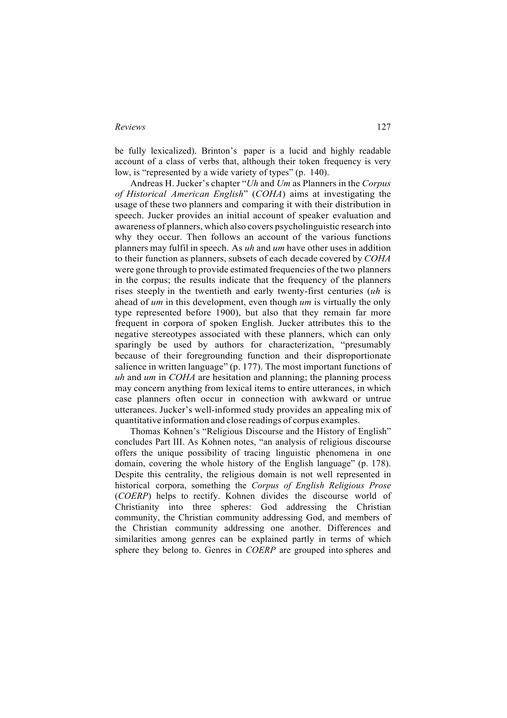be fully lexicalized). Brinton's paper is a lucid and highly readable account of a class of verbs that, although their token frequency is very low, is "represented by a wide variety of types" (p. 140).

Andreas H. Jucker's chapter "*Uh* and *Um* as Planners in the *Corpus of Historical American English*" (*COHA*) aims at investigating the usage of these two planners and comparing it with their distribution in speech. Jucker provides an initial account of speaker evaluation and awareness of planners, which also covers psycholinguistic research into why they occur. Then follows an account of the various functions planners may fulfil in speech. As *uh* and *um* have other uses in addition to their function as planners, subsets of each decade covered by *COHA* were gone through to provide estimated frequencies of the two planners in the corpus; the results indicate that the frequency of the planners rises steeply in the twentieth and early twenty-first centuries (*uh* is ahead of *um* in this development, even though *um* is virtually the only type represented before 1900), but also that they remain far more frequent in corpora of spoken English. Jucker attributes this to the negative stereotypes associated with these planners, which can only sparingly be used by authors for characterization, "presumably because of their foregrounding function and their disproportionate salience in written language" (p. 177). The most important functions of *uh* and *um* in *COHA* are hesitation and planning; the planning process may concern anything from lexical items to entire utterances, in which case planners often occur in connection with awkward or untrue utterances. Jucker's well-informed study provides an appealing mix of quantitative information and close readings of corpus examples.

Thomas Kohnen's "Religious Discourse and the History of English" concludes Part III. As Kohnen notes, "an analysis of religious discourse offers the unique possibility of tracing linguistic phenomena in one domain, covering the whole history of the English language" (p. 178). Despite this centrality, the religious domain is not well represented in historical corpora, something the *Corpus of English Religious Prose* (*COERP*) helps to rectify. Kohnen divides the discourse world of Christianity into three spheres: God addressing the Christian community, the Christian community addressing God, and members of the Christian community addressing one another. Differences and similarities among genres can be explained partly in terms of which sphere they belong to. Genres in *COERP* are grouped into spheres and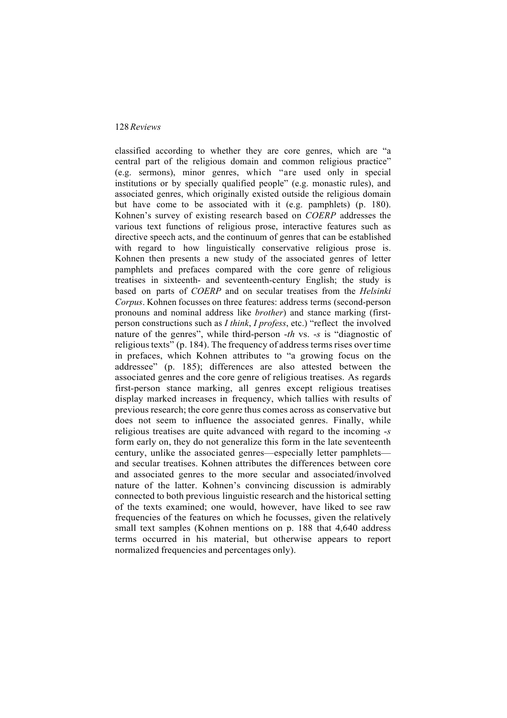classified according to whether they are core genres, which are "a central part of the religious domain and common religious practice" (e.g. sermons), minor genres, which "are used only in special institutions or by specially qualified people" (e.g. monastic rules), and associated genres, which originally existed outside the religious domain but have come to be associated with it (e.g. pamphlets) (p. 180). Kohnen's survey of existing research based on *COERP* addresses the various text functions of religious prose, interactive features such as directive speech acts, and the continuum of genres that can be established with regard to how linguistically conservative religious prose is. Kohnen then presents a new study of the associated genres of letter pamphlets and prefaces compared with the core genre of religious treatises in sixteenth- and seventeenth-century English; the study is based on parts of *COERP* and on secular treatises from the *Helsinki Corpus*. Kohnen focusses on three features: address terms (second-person pronouns and nominal address like *brother*) and stance marking (firstperson constructions such as *I think*, *I profess*, etc.) "reflect the involved nature of the genres", while third-person -*th* vs. -*s* is "diagnostic of religious texts" (p. 184). The frequency of address terms rises over time in prefaces, which Kohnen attributes to "a growing focus on the addressee" (p. 185); differences are also attested between the associated genres and the core genre of religious treatises. As regards first-person stance marking, all genres except religious treatises display marked increases in frequency, which tallies with results of previous research; the core genre thus comes across as conservative but does not seem to influence the associated genres. Finally, while religious treatises are quite advanced with regard to the incoming -*s* form early on, they do not generalize this form in the late seventeenth century, unlike the associated genres—especially letter pamphlets and secular treatises. Kohnen attributes the differences between core and associated genres to the more secular and associated/involved nature of the latter. Kohnen's convincing discussion is admirably connected to both previous linguistic research and the historical setting of the texts examined; one would, however, have liked to see raw frequencies of the features on which he focusses, given the relatively small text samples (Kohnen mentions on p. 188 that 4,640 address terms occurred in his material, but otherwise appears to report normalized frequencies and percentages only).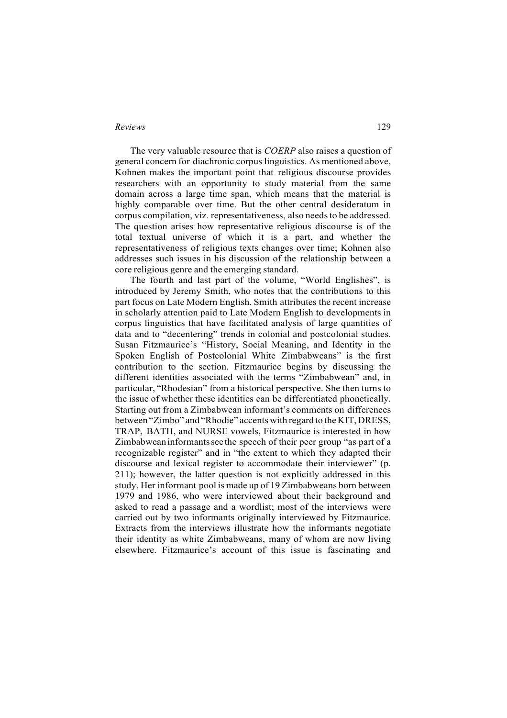The very valuable resource that is *COERP* also raises a question of general concern for diachronic corpus linguistics. As mentioned above, Kohnen makes the important point that religious discourse provides researchers with an opportunity to study material from the same domain across a large time span, which means that the material is highly comparable over time. But the other central desideratum in corpus compilation, viz. representativeness, also needsto be addressed. The question arises how representative religious discourse is of the total textual universe of which it is a part, and whether the representativeness of religious texts changes over time; Kohnen also addresses such issues in his discussion of the relationship between a core religious genre and the emerging standard.

The fourth and last part of the volume, "World Englishes", is introduced by Jeremy Smith, who notes that the contributions to this part focus on Late Modern English. Smith attributes the recent increase in scholarly attention paid to Late Modern English to developments in corpus linguistics that have facilitated analysis of large quantities of data and to "decentering" trends in colonial and postcolonial studies. Susan Fitzmaurice's "History, Social Meaning, and Identity in the Spoken English of Postcolonial White Zimbabweans" is the first contribution to the section. Fitzmaurice begins by discussing the different identities associated with the terms "Zimbabwean" and, in particular, "Rhodesian" from a historical perspective. She then turns to the issue of whether these identities can be differentiated phonetically. Starting out from a Zimbabwean informant's comments on differences between "Zimbo" and "Rhodie" accents with regard to the KIT, DRESS, TRAP, BATH, and NURSE vowels, Fitzmaurice is interested in how Zimbabweaninformantssee the speech of their peer group "as part of a recognizable register" and in "the extent to which they adapted their discourse and lexical register to accommodate their interviewer" (p. 211); however, the latter question is not explicitly addressed in this study. Her informant pool is made up of 19 Zimbabweans born between 1979 and 1986, who were interviewed about their background and asked to read a passage and a wordlist; most of the interviews were carried out by two informants originally interviewed by Fitzmaurice. Extracts from the interviews illustrate how the informants negotiate their identity as white Zimbabweans, many of whom are now living elsewhere. Fitzmaurice's account of this issue is fascinating and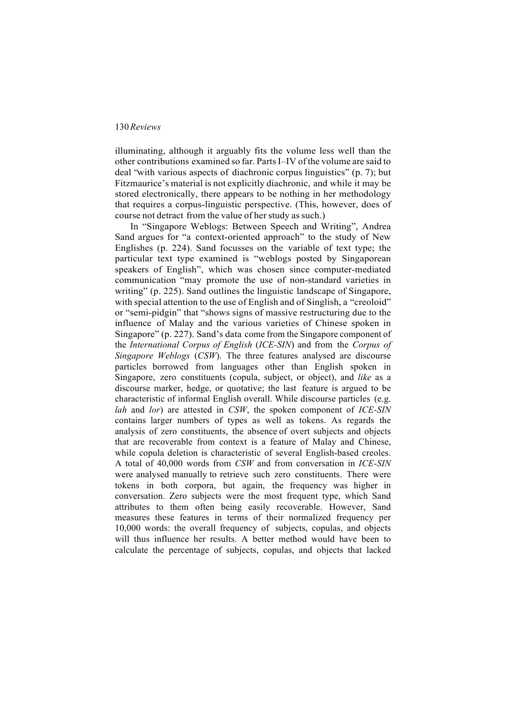illuminating, although it arguably fits the volume less well than the other contributions examined so far. PartsI–IV ofthe volume are said to deal "with various aspects of diachronic corpus linguistics" (p. 7); but Fitzmaurice's material is not explicitly diachronic, and while it may be stored electronically, there appears to be nothing in her methodology that requires a corpus-linguistic perspective. (This, however, does of course not detract from the value of her study as such.)

In "Singapore Weblogs: Between Speech and Writing", Andrea Sand argues for "a context-oriented approach" to the study of New Englishes (p. 224). Sand focusses on the variable of text type; the particular text type examined is "weblogs posted by Singaporean speakers of English", which was chosen since computer-mediated communication "may promote the use of non-standard varieties in writing" (p. 225). Sand outlines the linguistic landscape of Singapore, with special attention to the use of English and of Singlish, a "creoloid" or "semi-pidgin" that "shows signs of massive restructuring due to the influence of Malay and the various varieties of Chinese spoken in Singapore" (p. 227). Sand's data come from the Singapore component of the *International Corpus of English* (*ICE-SIN*) and from the *Corpus of Singapore Weblogs* (*CSW*). The three features analysed are discourse particles borrowed from languages other than English spoken in Singapore, zero constituents (copula, subject, or object), and *like* as a discourse marker, hedge, or quotative; the last feature is argued to be characteristic of informal English overall. While discourse particles (e.g. *lah* and *lor*) are attested in *CSW*, the spoken component of *ICE-SIN* contains larger numbers of types as well as tokens. As regards the analysis of zero constituents, the absence of overt subjects and objects that are recoverable from context is a feature of Malay and Chinese, while copula deletion is characteristic of several English-based creoles. A total of 40,000 words from *CSW* and from conversation in *ICE-SIN*  were analysed manually to retrieve such zero constituents. There were tokens in both corpora, but again, the frequency was higher in conversation. Zero subjects were the most frequent type, which Sand attributes to them often being easily recoverable. However, Sand measures these features in terms of their normalized frequency per 10,000 words: the overall frequency of subjects, copulas, and objects will thus influence her results. A better method would have been to calculate the percentage of subjects, copulas, and objects that lacked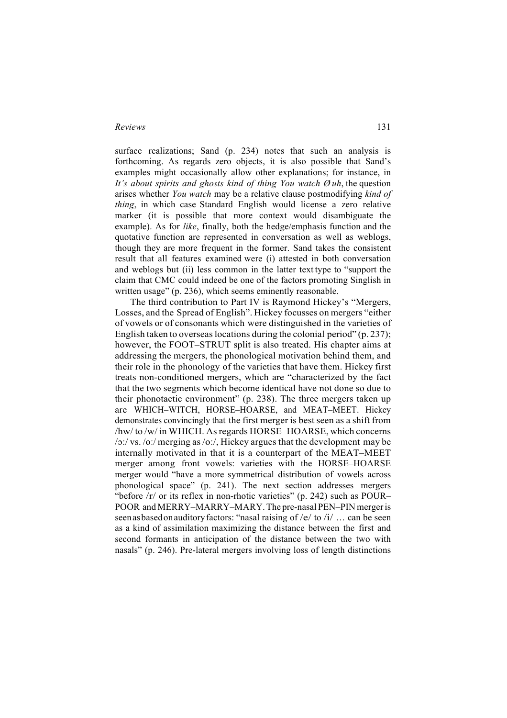surface realizations; Sand (p. 234) notes that such an analysis is forthcoming. As regards zero objects, it is also possible that Sand's examples might occasionally allow other explanations; for instance, in *It's about spirits and ghosts kind of thing You watch Ø uh*, the question arises whether *You watch* may be a relative clause postmodifying *kind of thing*, in which case Standard English would license a zero relative marker (it is possible that more context would disambiguate the example). As for *like*, finally, both the hedge/emphasis function and the quotative function are represented in conversation as well as weblogs, though they are more frequent in the former. Sand takes the consistent result that all features examined were (i) attested in both conversation and weblogs but (ii) less common in the latter text type to "support the claim that CMC could indeed be one of the factors promoting Singlish in written usage" (p. 236), which seems eminently reasonable.

The third contribution to Part IV is Raymond Hickey's "Mergers, Losses, and the Spread of English". Hickey focusses on mergers "either of vowels or of consonants which were distinguished in the varieties of English taken to overseas locations during the colonial period"  $(p. 237)$ ; however, the FOOT–STRUT split is also treated. His chapter aims at addressing the mergers, the phonological motivation behind them, and their role in the phonology of the varieties that have them. Hickey first treats non-conditioned mergers, which are "characterized by the fact that the two segments which become identical have not done so due to their phonotactic environment" (p. 238). The three mergers taken up are WHICH–WITCH, HORSE–HOARSE, and MEAT–MEET. Hickey demonstrates convincingly that the first merger is best seen as a shift from /hw/ to /w/ in WHICH. Asregards HORSE–HOARSE, which concerns /ɔː/ vs. /oː/ merging as /oː/, Hickey arguesthat the development may be internally motivated in that it is a counterpart of the MEAT–MEET merger among front vowels: varieties with the HORSE–HOARSE merger would "have a more symmetrical distribution of vowels across phonological space" (p. 241). The next section addresses mergers "before /r/ or its reflex in non-rhotic varieties" (p. 242) such as POUR– POOR and MERRY–MARRY–MARY.The pre-nasal PEN–PIN mergeris seenasbasedonauditoryfactors: "nasal raising of /e/ to /i/ … can be seen as a kind of assimilation maximizing the distance between the first and second formants in anticipation of the distance between the two with nasals" (p. 246). Pre-lateral mergers involving loss of length distinctions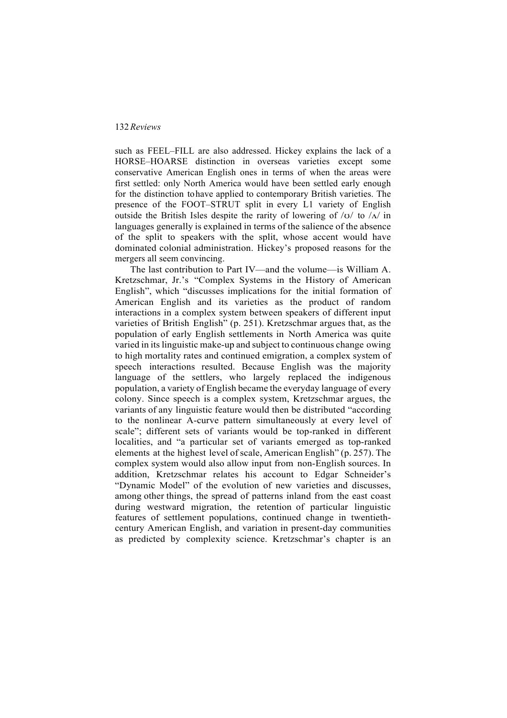such as FEEL–FILL are also addressed. Hickey explains the lack of a HORSE–HOARSE distinction in overseas varieties except some conservative American English ones in terms of when the areas were first settled: only North America would have been settled early enough for the distinction tohave applied to contemporary British varieties. The presence of the FOOT–STRUT split in every L1 variety of English outside the British Isles despite the rarity of lowering of  $\overline{y}$  to  $\overline{A}$  in languages generally is explained in terms of the salience of the absence of the split to speakers with the split, whose accent would have dominated colonial administration. Hickey's proposed reasons for the mergers all seem convincing.

The last contribution to Part IV—and the volume—is William A. Kretzschmar, Jr.'s "Complex Systems in the History of American English", which "discusses implications for the initial formation of American English and its varieties as the product of random interactions in a complex system between speakers of different input varieties of British English" (p. 251). Kretzschmar argues that, as the population of early English settlements in North America was quite varied in itslinguistic make-up and subject to continuous change owing to high mortality rates and continued emigration, a complex system of speech interactions resulted. Because English was the majority language of the settlers, who largely replaced the indigenous population, a variety of English became the everyday language of every colony. Since speech is a complex system, Kretzschmar argues, the variants of any linguistic feature would then be distributed "according to the nonlinear A-curve pattern simultaneously at every level of scale"; different sets of variants would be top-ranked in different localities, and "a particular set of variants emerged as top-ranked elements at the highest level of scale, American English" (p. 257). The complex system would also allow input from non-English sources. In addition, Kretzschmar relates his account to Edgar Schneider's "Dynamic Model" of the evolution of new varieties and discusses, among other things, the spread of patterns inland from the east coast during westward migration, the retention of particular linguistic features of settlement populations, continued change in twentiethcentury American English, and variation in present-day communities as predicted by complexity science. Kretzschmar's chapter is an